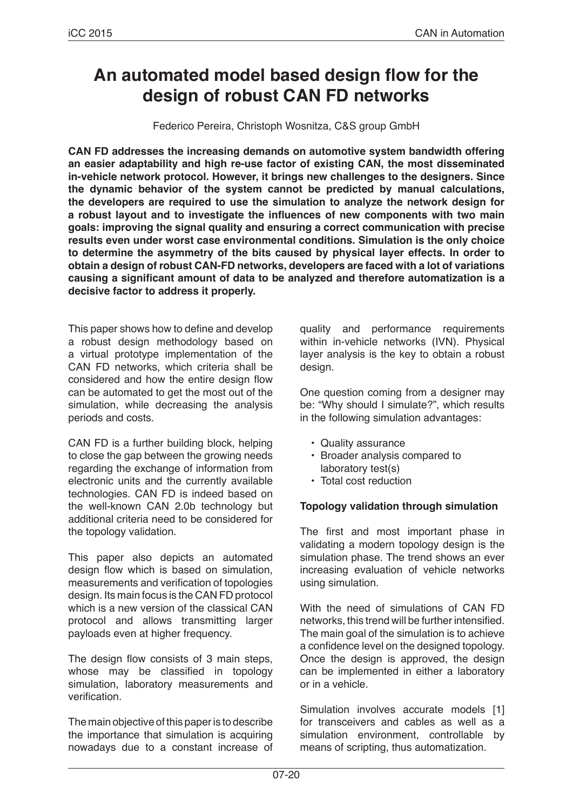# **An automated model based design flow for the design of robust CAN FD networks**

Federico Pereira, Christoph Wosnitza, C&S group GmbH

**CAN FD addresses the increasing demands on automotive system bandwidth offering an easier adaptability and high re-use factor of existing CAN, the most disseminated in-vehicle network protocol. However, it brings new challenges to the designers. Since the dynamic behavior of the system cannot be predicted by manual calculations, the developers are required to use the simulation to analyze the network design for a robust layout and to investigate the influences of new components with two main goals: improving the signal quality and ensuring a correct communication with precise results even under worst case environmental conditions. Simulation is the only choice to determine the asymmetry of the bits caused by physical layer effects. In order to obtain a design of robust CAN-FD networks, developers are faced with a lot of variations causing a significant amount of data to be analyzed and therefore automatization is a decisive factor to address it properly.**

This paper shows how to define and develop a robust design methodology based on a virtual prototype implementation of the CAN FD networks, which criteria shall be considered and how the entire design flow can be automated to get the most out of the simulation, while decreasing the analysis periods and costs.

CAN FD is a further building block, helping to close the gap between the growing needs regarding the exchange of information from electronic units and the currently available technologies. CAN FD is indeed based on the well-known CAN 2.0b technology but additional criteria need to be considered for the topology validation.

This paper also depicts an automated design flow which is based on simulation, measurements and verification of topologies design. Its main focus is the CAN FD protocol which is a new version of the classical CAN protocol and allows transmitting larger payloads even at higher frequency.

The design flow consists of 3 main steps, whose may be classified in topology simulation, laboratory measurements and verification.

The main objective of this paper is to describe the importance that simulation is acquiring nowadays due to a constant increase of quality and performance requirements within in-vehicle networks (IVN). Physical layer analysis is the key to obtain a robust design.

One question coming from a designer may be: "Why should I simulate?", which results in the following simulation advantages:

- Quality assurance
- Broader analysis compared to laboratory test(s)
- Total cost reduction

# **Topology validation through simulation**

The first and most important phase in validating a modern topology design is the simulation phase. The trend shows an ever increasing evaluation of vehicle networks using simulation.

With the need of simulations of CAN FD networks, this trend will be further intensified. The main goal of the simulation is to achieve a confidence level on the designed topology. Once the design is approved, the design can be implemented in either a laboratory or in a vehicle.

Simulation involves accurate models [1] for transceivers and cables as well as a simulation environment, controllable by means of scripting, thus automatization.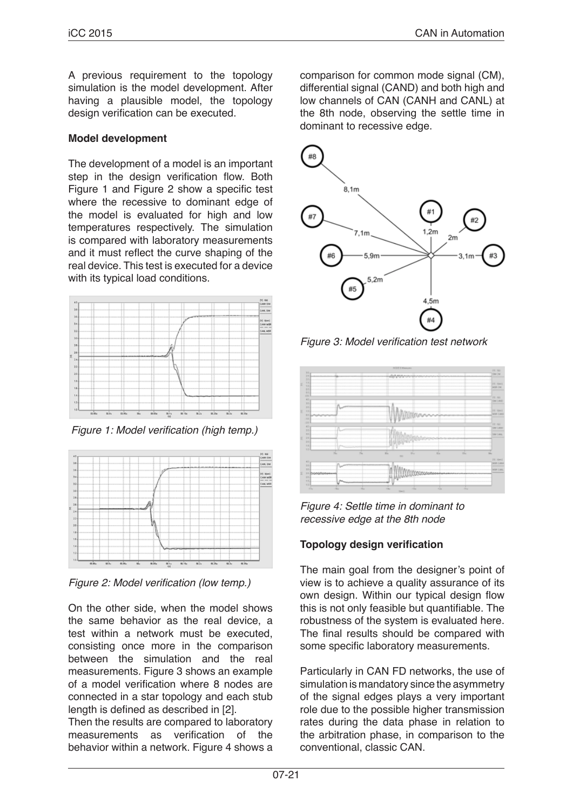A previous requirement to the topology simulation is the model development. After having a plausible model, the topology design verification can be executed.

# **Model development**

The development of a model is an important step in the design verification flow. Both Figure 1 and Figure 2 show a specific test where the recessive to dominant edge of the model is evaluated for high and low temperatures respectively. The simulation is compared with laboratory measurements and it must reflect the curve shaping of the real device. This test is executed for a device with its typical load conditions.



Figure 1: Model verification (high temp.)



Figure 2: Model verification (low temp.)

On the other side, when the model shows the same behavior as the real device, a test within a network must be executed, consisting once more in the comparison between the simulation and the real measurements. Figure 3 shows an example of a model verification where 8 nodes are connected in a star topology and each stub length is defined as described in [2].

Then the results are compared to laboratory measurements as verification of the behavior within a network. Figure 4 shows a comparison for common mode signal (CM), differential signal (CAND) and both high and low channels of CAN (CANH and CANL) at the 8th node, observing the settle time in dominant to recessive edge.



Figure 3: Model verification test network



*Figure 4: Settle time in dominant to recessive edge at the 8th node*

# **Topology design verification**

The main goal from the designer's point of view is to achieve a quality assurance of its own design. Within our typical design flow this is not only feasible but quantifiable. The robustness of the system is evaluated here. The final results should be compared with some specific laboratory measurements.

Particularly in CAN FD networks, the use of simulation is mandatory since the asymmetry of the signal edges plays a very important role due to the possible higher transmission rates during the data phase in relation to the arbitration phase, in comparison to the conventional, classic CAN.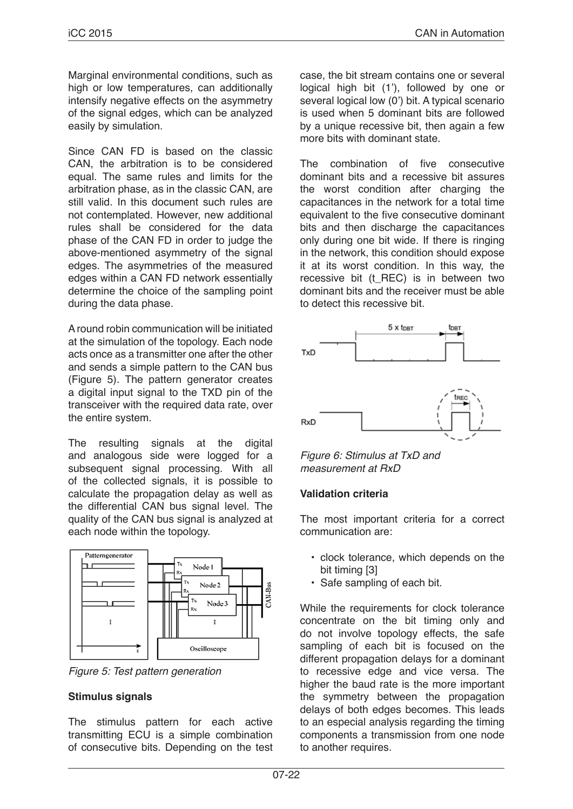Marginal environmental conditions, such as high or low temperatures, can additionally intensify negative effects on the asymmetry of the signal edges, which can be analyzed easily by simulation.

Since CAN FD is based on the classic CAN, the arbitration is to be considered equal. The same rules and limits for the arbitration phase, as in the classic CAN, are still valid. In this document such rules are not contemplated. However, new additional rules shall be considered for the data phase of the CAN FD in order to judge the above-mentioned asymmetry of the signal edges. The asymmetries of the measured edges within a CAN FD network essentially determine the choice of the sampling point during the data phase.

A round robin communication will be initiated at the simulation of the topology. Each node acts once as a transmitter one after the other and sends a simple pattern to the CAN bus (Figure 5). The pattern generator creates a digital input signal to the TXD pin of the transceiver with the required data rate, over the entire system.

The resulting signals at the digital and analogous side were logged for a subsequent signal processing. With all of the collected signals, it is possible to calculate the propagation delay as well as the differential CAN bus signal level. The quality of the CAN bus signal is analyzed at each node within the topology.



*Figure 5: Test pattern generation*

# **Stimulus signals**

The stimulus pattern for each active transmitting ECU is a simple combination of consecutive bits. Depending on the test case, the bit stream contains one or several logical high bit (1'), followed by one or several logical low (0') bit. A typical scenario is used when 5 dominant bits are followed by a unique recessive bit, then again a few more bits with dominant state.

The combination of five consecutive dominant bits and a recessive bit assures the worst condition after charging the capacitances in the network for a total time equivalent to the five consecutive dominant bits and then discharge the capacitances only during one bit wide. If there is ringing in the network, this condition should expose it at its worst condition. In this way, the recessive bit (t\_REC) is in between two dominant bits and the receiver must be able to detect this recessive bit.



*Figure 6: Stimulus at TxD and measurement at RxD*

# **Validation criteria**

The most important criteria for a correct communication are:

- clock tolerance, which depends on the bit timing [3]
- Safe sampling of each bit.

While the requirements for clock tolerance concentrate on the bit timing only and do not involve topology effects, the safe sampling of each bit is focused on the different propagation delays for a dominant to recessive edge and vice versa. The higher the baud rate is the more important the symmetry between the propagation delays of both edges becomes. This leads to an especial analysis regarding the timing components a transmission from one node to another requires.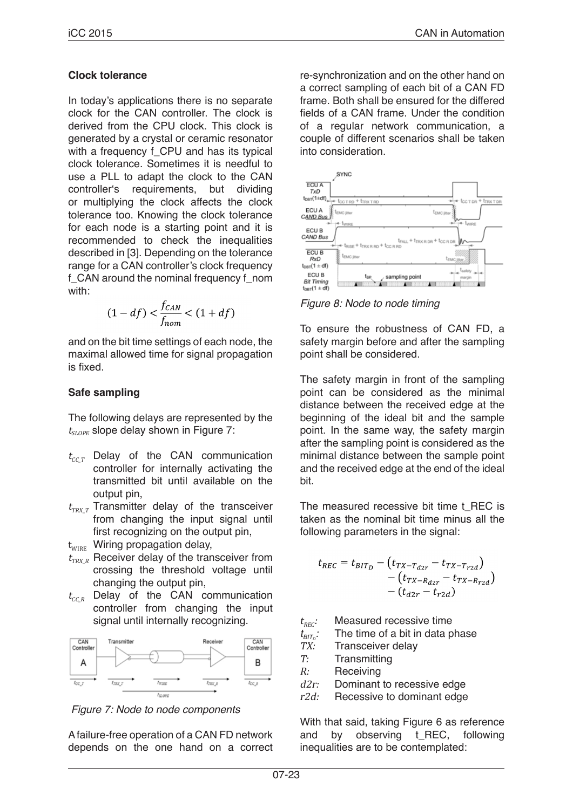#### **Clock tolerance**

In today's applications there is no separate clock for the CAN controller. The clock is derived from the CPU clock. This clock is generated by a crystal or ceramic resonator with a frequency f\_CPU and has its typical clock tolerance. Sometimes it is needful to use a PLL to adapt the clock to the CAN controller's requirements, but dividing or multiplying the clock affects the clock tolerance too. Knowing the clock tolerance for each node is a starting point and it is recommended to check the inequalities described in [3]. Depending on the tolerance range for a CAN controller's clock frequency f\_CAN around the nominal frequency f\_nom with:

$$
(1-df) < \frac{f_{CAN}}{f_{nom}} < (1+df)
$$

and on the bit time settings of each node, the maximal allowed time for signal propagation is fixed.

# **Safe sampling**

The following delays are represented by the  $t_{SLOPF}$  slope delay shown in Figure 7:

- $t_{CCT}$  Delay of the CAN communication controller for internally activating the transmitted bit until available on the output pin,
- $t_{\text{TRX}T}$  Transmitter delay of the transceiver from changing the input signal until first recognizing on the output pin.
- $t_{\text{WIRE}}$  Wiring propagation delay,
- $t_{TRX_R}$  Receiver delay of the transceiver from crossing the threshold voltage until changing the output pin,
- $t_{CC,R}$  Delay of the CAN communication controller from changing the input signal until internally recognizing.



 *Figure 7: Node to node components*

A failure-free operation of a CAN FD network depends on the one hand on a correct re-synchronization and on the other hand on a correct sampling of each bit of a CAN FD frame. Both shall be ensured for the differed fields of a CAN frame. Under the condition of a regular network communication, a couple of different scenarios shall be taken into consideration.



*Figure 8: Node to node timing*

To ensure the robustness of CAN FD, a safety margin before and after the sampling point shall be considered.

The safety margin in front of the sampling point can be considered as the minimal distance between the received edge at the beginning of the ideal bit and the sample point. In the same way, the safety margin after the sampling point is considered as the minimal distance between the sample point and the received edge at the end of the ideal bit.

The measured recessive bit time t\_REC is taken as the nominal bit time minus all the following parameters in the signal:

$$
t_{REC} = t_{BIT_D} - (t_{TX-T_{d2r}} - t_{TX-T_{r2d}}) - (t_{TX-R_{d2r}} - t_{TX-R_{r2d}}) - (t_{d2r} - t_{r2d})
$$

 $t_{REC}$ : Measured recessive time

 $t_{\text{BIT}_D}$ : The time of a bit in data phase

- TX: Transceiver delay
- T: Transmitting
- R: Receiving
- d2r: Dominant to recessive edge
- r2d: Recessive to dominant edge

With that said, taking Figure 6 as reference and by observing t\_REC, following inequalities are to be contemplated: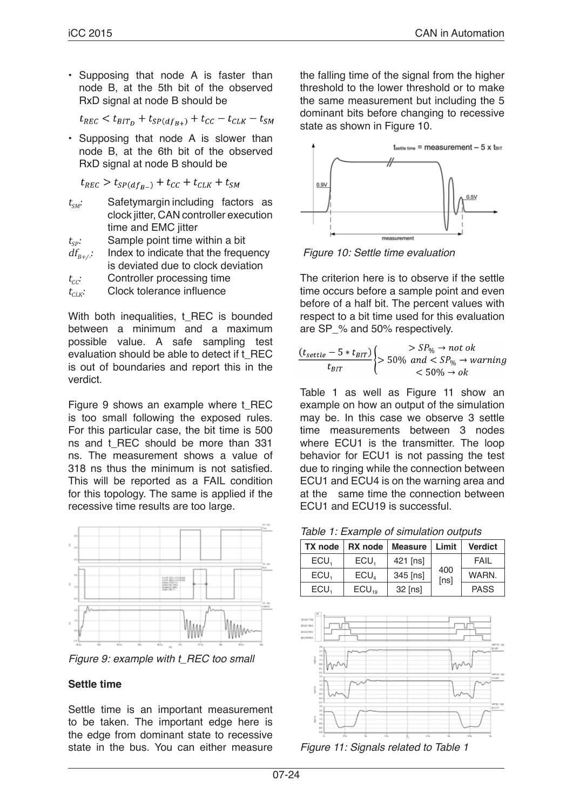• Supposing that node A is faster than node B, at the 5th bit of the observed RxD signal at node B should be

 $t_{REC} < t_{BIT_D} + t_{SP(df_{B+})} + t_{CC} - t_{CLK} - t_{SM}$ 

• Supposing that node A is slower than node B, at the 6th bit of the observed RxD signal at node B should be

 $t_{REC} > t_{SP(df_{B-})} + t_{CC} + t_{CLK} + t_{SM}$ 

 $t_{\rm SM}$ : Safetymargin including factors as clock jitter, CAN controller execution time and EMC jitter

 $t_{sp}:$  Sample point time within a bit  $df_{R+\Delta}$ : Index to indicate that the frequency is deviated due to clock deviation

 $t_{cc}$ : Controller processing time

 $t_{CK}$ : Clock tolerance influence

With both inequalities, t\_REC is bounded between a minimum and a maximum possible value. A safe sampling test evaluation should be able to detect if t\_REC is out of boundaries and report this in the verdict.

Figure 9 shows an example where t\_REC is too small following the exposed rules. For this particular case, the bit time is 500 ns and t\_REC should be more than 331 ns. The measurement shows a value of 318 ns thus the minimum is not satisfied. This will be reported as a FAIL condition for this topology. The same is applied if the recessive time results are too large.



*Figure 9: example with t\_REC too small*

# **Settle time**

Settle time is an important measurement to be taken. The important edge here is the edge from dominant state to recessive state in the bus. You can either measure

the falling time of the signal from the higher threshold to the lower threshold or to make the same measurement but including the 5 dominant bits before changing to recessive state as shown in Figure 10.



 *Figure 10: Settle time evaluation*

The criterion here is to observe if the settle time occurs before a sample point and even before of a half bit. The percent values with respect to a bit time used for this evaluation are SP\_% and 50% respectively.

$$
\frac{(t_{settle} - 5 * t_{BIT})}{t_{BIT}} \begin{cases} > SP_{\%} \to not \text{ ok} \\ > 50\% \text{ and } < SP_{\%} \to warning \\ < 50\% \to ok \end{cases}
$$

Table 1 as well as Figure 11 show an example on how an output of the simulation may be. In this case we observe 3 settle time measurements between 3 nodes where ECU1 is the transmitter. The loop behavior for ECU1 is not passing the test due to ringing while the connection between ECU1 and ECU4 is on the warning area and at the same time the connection between ECU1 and ECU19 is successful.

*Table 1: Example of simulation outputs*

| <b>TX</b> node | RX node    | <b>Measure</b> | Limit       | <b>Verdict</b> |
|----------------|------------|----------------|-------------|----------------|
| ECU.           | ECU.       | 421 [ns]       | 400<br>[ns] | FAIL           |
| ECU.           | ECU.       | 345 [ns]       |             | WARN.          |
| ECU.           | $ECU_{10}$ | 32 [ns]        |             | <b>PASS</b>    |



*Figure 11: Signals related to Table 1*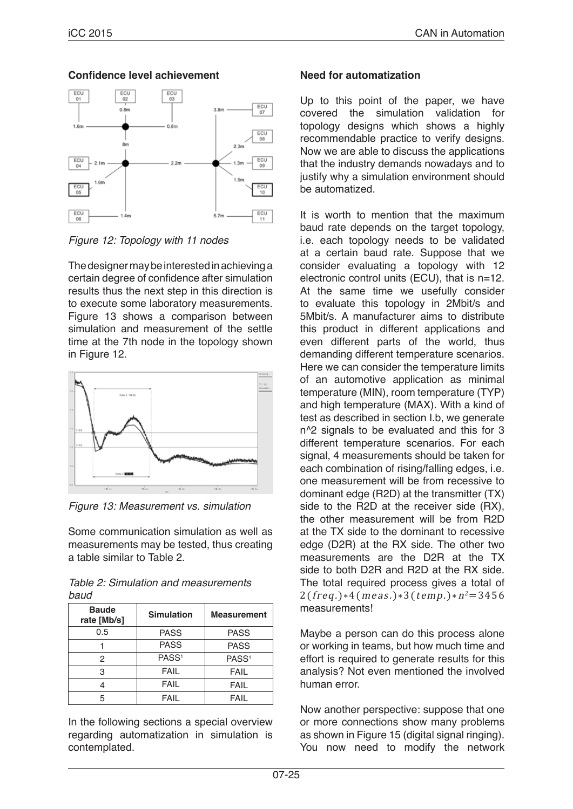# **Confidence level achievement**



*Figure 12: Topology with 11 nodes*

The designer may be interested in achieving a certain degree of confidence after simulation results thus the next step in this direction is to execute some laboratory measurements. Figure 13 shows a comparison between simulation and measurement of the settle time at the 7th node in the topology shown in Figure 12.



*Figure 13: Measurement vs. simulation*

Some communication simulation as well as measurements may be tested, thus creating a table similar to Table 2.

| Table 2: Simulation and measurements |  |
|--------------------------------------|--|
| baud                                 |  |

| <b>Baude</b><br>rate [Mb/s] | <b>Simulation</b> | <b>Measurement</b> |
|-----------------------------|-------------------|--------------------|
| 0.5                         | <b>PASS</b>       | <b>PASS</b>        |
|                             | <b>PASS</b>       | <b>PASS</b>        |
| 2                           | PASS <sup>1</sup> | PASS <sup>1</sup>  |
| 3                           | <b>FAIL</b>       | <b>FAIL</b>        |
|                             | <b>FAIL</b>       | <b>FAIL</b>        |
| 5                           | FAII              | FAIL               |

In the following sections a special overview regarding automatization in simulation is contemplated.

# **Need for automatization**

Up to this point of the paper, we have covered the simulation validation for topology designs which shows a highly recommendable practice to verify designs. Now we are able to discuss the applications that the industry demands nowadays and to justify why a simulation environment should be automatized.

It is worth to mention that the maximum baud rate depends on the target topology, i.e. each topology needs to be validated at a certain baud rate. Suppose that we consider evaluating a topology with 12 electronic control units (ECU), that is n=12. At the same time we usefully consider to evaluate this topology in 2Mbit/s and 5Mbit/s. A manufacturer aims to distribute this product in different applications and even different parts of the world, thus demanding different temperature scenarios. Here we can consider the temperature limits of an automotive application as minimal temperature (MIN), room temperature (TYP) and high temperature (MAX). With a kind of test as described in section I.b, we generate n^2 signals to be evaluated and this for 3 different temperature scenarios. For each signal, 4 measurements should be taken for each combination of rising/falling edges, i.e. one measurement will be from recessive to dominant edge (R2D) at the transmitter (TX) side to the R2D at the receiver side (RX), the other measurement will be from R2D at the TX side to the dominant to recessive edge (D2R) at the RX side. The other two measurements are the D2R at the TX side to both D2R and R2D at the RX side. The total required process gives a total of  $2(frea.)*4(meas.)*3(temo.)*n<sup>2</sup>=3456$ measurements!

Maybe a person can do this process alone or working in teams, but how much time and effort is required to generate results for this analysis? Not even mentioned the involved human error.

Now another perspective: suppose that one or more connections show many problems as shown in Figure 15 (digital signal ringing). You now need to modify the network